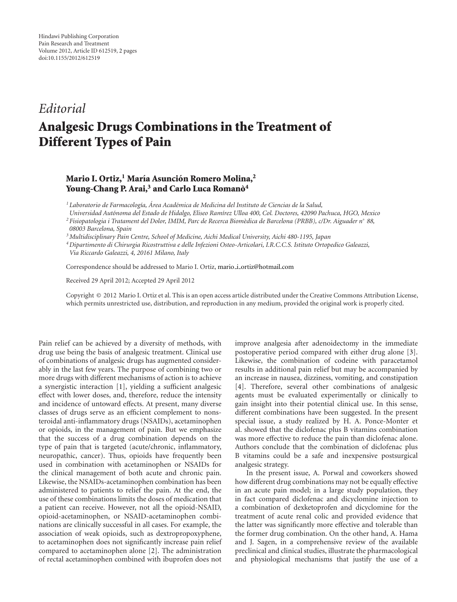## *Editorial*

## **Analgesic Drugs Combinations in the Treatment of Different Types of Pain**

## **Mario I. Ortiz,1 Marıa Asunci ´ on Romero Molina, ´ <sup>2</sup> Young-Chang P. Arai,3 and Carlo Luca Romano` <sup>4</sup>**

<sup>1</sup> Laboratorio de Farmacología, Área Académica de Medicina del Instituto de Ciencias de la Salud,

*Universidad Autonoma del Estado de Hidalgo, Eliseo Ram ´ ´ırez Ulloa 400, Col. Doctores, 42090 Pachuca, HGO, Mexico*

*<sup>2</sup> Fisiopatologia i Tratament del Dolor, IMIM, Parc de Recerca Biom`edica de Barcelona (PRBB), c/Dr. Aiguader n*◦ *88,*

*3Multidisciplinary Pain Centre, School of Medicine, Aichi Medical University, Aichi 480-1195, Japan*

*4Dipartimento di Chirurgia Ricostruttiva e delle Infezioni Osteo-Articolari, I.R.C.C.S. Istituto Ortopedico Galeazzi, Via Riccardo Galeazzi, 4, 20161 Milano, Italy*

Correspondence should be addressed to Mario I. Ortiz, mario\_i\_[ortiz@hotmail.com](mailto:mario_i_ortiz@hotmail.com)

Received 29 April 2012; Accepted 29 April 2012

Copyright © 2012 Mario I. Ortiz et al. This is an open access article distributed under the Creative Commons Attribution License, which permits unrestricted use, distribution, and reproduction in any medium, provided the original work is properly cited.

Pain relief can be achieved by a diversity of methods, with drug use being the basis of analgesic treatment. Clinical use of combinations of analgesic drugs has augmented considerably in the last few years. The purpose of combining two or more drugs with different mechanisms of action is to achieve a synergistic interaction [\[1\]](#page-1-1), yielding a sufficient analgesic effect with lower doses, and, therefore, reduce the intensity and incidence of untoward effects. At present, many diverse classes of drugs serve as an efficient complement to nonsteroidal anti-inflammatory drugs (NSAIDs), acetaminophen or opioids, in the management of pain. But we emphasize that the success of a drug combination depends on the type of pain that is targeted (acute/chronic, inflammatory, neuropathic, cancer). Thus, opioids have frequently been used in combination with acetaminophen or NSAIDs for the clinical management of both acute and chronic pain. Likewise, the NSAIDs-acetaminophen combination has been administered to patients to relief the pain. At the end, the use of these combinations limits the doses of medication that a patient can receive. However, not all the opioid-NSAID, opioid-acetaminophen, or NSAID-acetaminophen combinations are clinically successful in all cases. For example, the association of weak opioids, such as dextropropoxyphene, to acetaminophen does not significantly increase pain relief compared to acetaminophen alone [\[2](#page-1-2)]. The administration of rectal acetaminophen combined with ibuprofen does not

improve analgesia after adenoidectomy in the immediate postoperative period compared with either drug alone [\[3\]](#page-1-3). Likewise, the combination of codeine with paracetamol results in additional pain relief but may be accompanied by an increase in nausea, dizziness, vomiting, and constipation [\[4](#page-1-4)]. Therefore, several other combinations of analgesic agents must be evaluated experimentally or clinically to gain insight into their potential clinical use. In this sense, different combinations have been suggested. In the present special issue, a study realized by H. A. Ponce-Monter et al. showed that the diclofenac plus B vitamins combination was more effective to reduce the pain than diclofenac alone. Authors conclude that the combination of diclofenac plus B vitamins could be a safe and inexpensive postsurgical analgesic strategy.

In the present issue, A. Porwal and coworkers showed how different drug combinations may not be equally effective in an acute pain model; in a large study population, they in fact compared diclofenac and dicyclomine injection to a combination of dexketoprofen and dicyclomine for the treatment of acute renal colic and provided evidence that the latter was significantly more effective and tolerable than the former drug combination. On the other hand, A. Hama and J. Sagen, in a comprehensive review of the available preclinical and clinical studies, illustrate the pharmacological and physiological mechanisms that justify the use of a

*<sup>08003</sup> Barcelona, Spain*